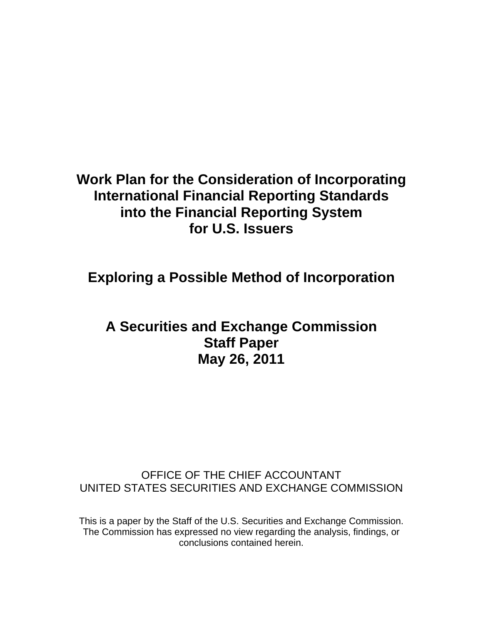# **Work Plan for the Consideration of Incorporating International Financial Reporting Standards into the Financial Reporting System for U.S. Issuers**

**Exploring a Possible Method of Incorporation** 

# **A Securities and Exchange Commission Staff Paper May 26, 2011**

## OFFICE OF THE CHIEF ACCOUNTANT UNITED STATES SECURITIES AND EXCHANGE COMMISSION

This is a paper by the Staff of the U.S. Securities and Exchange Commission. The Commission has expressed no view regarding the analysis, findings, or conclusions contained herein.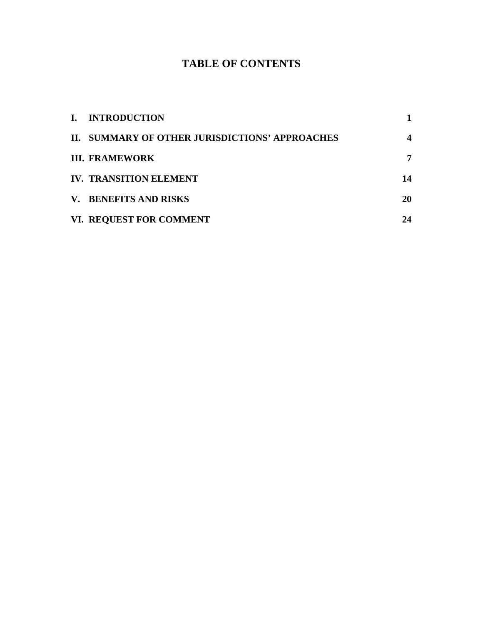# **TABLE OF CONTENTS**

| I. INTRODUCTION                                |    |
|------------------------------------------------|----|
| II. SUMMARY OF OTHER JURISDICTIONS' APPROACHES |    |
| <b>III. FRAMEWORK</b>                          |    |
| <b>IV. TRANSITION ELEMENT</b>                  | 14 |
| V. BENEFITS AND RISKS                          | 20 |
| VI. REQUEST FOR COMMENT                        | 24 |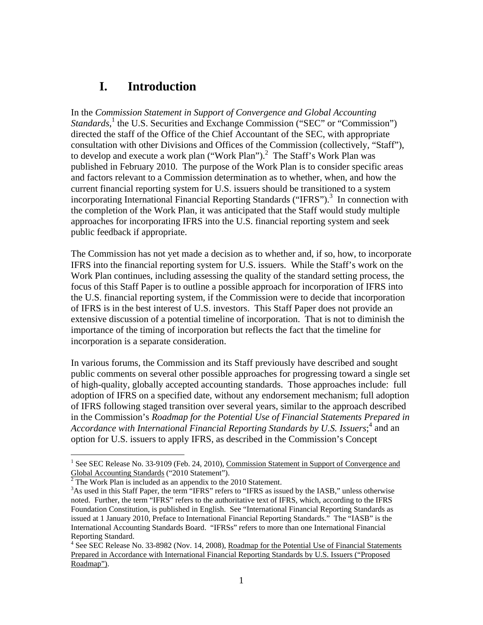## <span id="page-2-0"></span>**I. Introduction**

In the *Commission Statement in Support of Convergence and Global Accounting*  Standards,<sup>1</sup> the U.S. Securities and Exchange Commission ("SEC" or "Commission") directed the staff of the Office of the Chief Accountant of the SEC, with appropriate consultation with other Divisions and Offices of the Commission (collectively, "Staff"), to develop and execute a work plan ("Work Plan").<sup>2</sup> The Staff's Work Plan was published in February 2010. The purpose of the Work Plan is to consider specific areas and factors relevant to a Commission determination as to whether, when, and how the current financial reporting system for U.S. issuers should be transitioned to a system incorporating International Financial Reporting Standards ("IFRS").<sup>3</sup> In connection with the completion of the Work Plan, it was anticipated that the Staff would study multiple approaches for incorporating IFRS into the U.S. financial reporting system and seek public feedback if appropriate.

The Commission has not yet made a decision as to whether and, if so, how, to incorporate IFRS into the financial reporting system for U.S. issuers. While the Staff's work on the Work Plan continues, including assessing the quality of the standard setting process, the focus of this Staff Paper is to outline a possible approach for incorporation of IFRS into the U.S. financial reporting system, if the Commission were to decide that incorporation of IFRS is in the best interest of U.S. investors. This Staff Paper does not provide an extensive discussion of a potential timeline of incorporation. That is not to diminish the importance of the timing of incorporation but reflects the fact that the timeline for incorporation is a separate consideration.

In various forums, the Commission and its Staff previously have described and sought public comments on several other possible approaches for progressing toward a single set of high-quality, globally accepted accounting standards. Those approaches include: full adoption of IFRS on a specified date, without any endorsement mechanism; full adoption of IFRS following staged transition over several years, similar to the approach described in the Commission's *Roadmap for the Potential Use of Financial Statements Prepared in*  Accordance with International Financial Reporting Standards by U.S. Issuers;<sup>4</sup> and an option for U.S. issuers to apply IFRS, as described in the Commission's Concept

<sup>&</sup>lt;sup>1</sup> See SEC Release No. 33-9109 (Feb. 24, 2010), Commission Statement in Support of Convergence and Global Accounting Standards ("2010 Statement").

The Work Plan is included as an appendix to the 2010 Statement.

 Foundation Constitution, is published in English. See "International Financial Reporting Standards as <sup>3</sup>As used in this Staff Paper, the term "IFRS" refers to "IFRS as issued by the IASB," unless otherwise noted. Further, the term "IFRS" refers to the authoritative text of IFRS, which, according to the IFRS issued at 1 January 2010, Preface to International Financial Reporting Standards." The "IASB" is the International Accounting Standards Board. "IFRSs" refers to more than one International Financial Reporting Standard.

<sup>&</sup>lt;sup>4</sup> See SEC Release No. 33-8982 (Nov. 14, 2008), Roadmap for the Potential Use of Financial Statements Prepared in Accordance with International Financial Reporting Standards by U.S. Issuers ("Proposed Roadmap").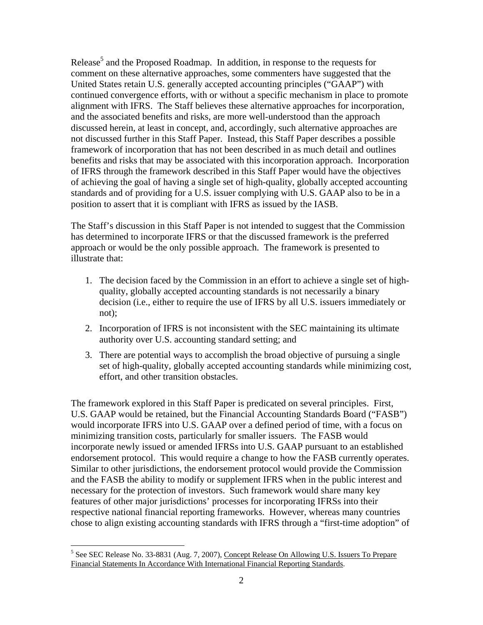Release<sup>5</sup> and the Proposed Roadmap. In addition, in response to the requests for comment on these alternative approaches, some commenters have suggested that the United States retain U.S. generally accepted accounting principles ("GAAP") with continued convergence efforts, with or without a specific mechanism in place to promote alignment with IFRS. The Staff believes these alternative approaches for incorporation, and the associated benefits and risks, are more well-understood than the approach discussed herein, at least in concept, and, accordingly, such alternative approaches are not discussed further in this Staff Paper. Instead, this Staff Paper describes a possible framework of incorporation that has not been described in as much detail and outlines benefits and risks that may be associated with this incorporation approach. Incorporation of IFRS through the framework described in this Staff Paper would have the objectives of achieving the goal of having a single set of high-quality, globally accepted accounting standards and of providing for a U.S. issuer complying with U.S. GAAP also to be in a position to assert that it is compliant with IFRS as issued by the IASB.

The Staff's discussion in this Staff Paper is not intended to suggest that the Commission has determined to incorporate IFRS or that the discussed framework is the preferred approach or would be the only possible approach. The framework is presented to illustrate that:

- 1. The decision faced by the Commission in an effort to achieve a single set of highquality, globally accepted accounting standards is not necessarily a binary decision (i.e., either to require the use of IFRS by all U.S. issuers immediately or not);
- 2. Incorporation of IFRS is not inconsistent with the SEC maintaining its ultimate authority over U.S. accounting standard setting; and
- 3. There are potential ways to accomplish the broad objective of pursuing a single set of high-quality, globally accepted accounting standards while minimizing cost, effort, and other transition obstacles.

The framework explored in this Staff Paper is predicated on several principles. First, U.S. GAAP would be retained, but the Financial Accounting Standards Board ("FASB") would incorporate IFRS into U.S. GAAP over a defined period of time, with a focus on minimizing transition costs, particularly for smaller issuers. The FASB would incorporate newly issued or amended IFRSs into U.S. GAAP pursuant to an established endorsement protocol. This would require a change to how the FASB currently operates. Similar to other jurisdictions, the endorsement protocol would provide the Commission and the FASB the ability to modify or supplement IFRS when in the public interest and necessary for the protection of investors. Such framework would share many key features of other major jurisdictions' processes for incorporating IFRSs into their respective national financial reporting frameworks. However, whereas many countries chose to align existing accounting standards with IFRS through a "first-time adoption" of

<sup>&</sup>lt;sup>5</sup> See SEC Release No. 33-8831 (Aug. 7, 2007), Concept Release On Allowing U.S. Issuers To Prepare Financial Statements In Accordance With International Financial Reporting Standards.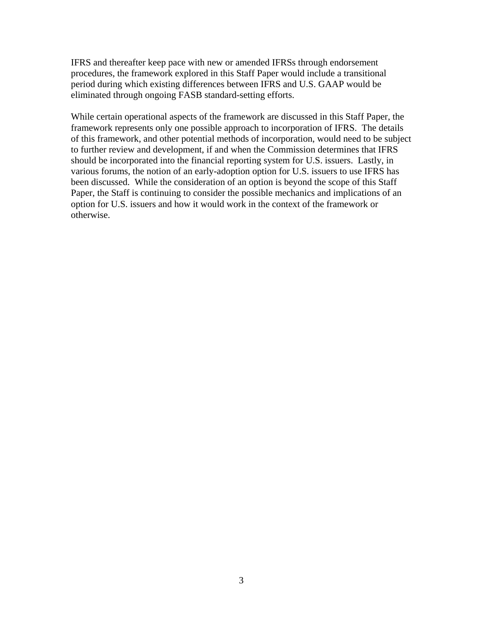IFRS and thereafter keep pace with new or amended IFRSs through endorsement procedures, the framework explored in this Staff Paper would include a transitional period during which existing differences between IFRS and U.S. GAAP would be eliminated through ongoing FASB standard-setting efforts.

While certain operational aspects of the framework are discussed in this Staff Paper, the framework represents only one possible approach to incorporation of IFRS. The details of this framework, and other potential methods of incorporation, would need to be subject to further review and development, if and when the Commission determines that IFRS should be incorporated into the financial reporting system for U.S. issuers. Lastly, in various forums, the notion of an early-adoption option for U.S. issuers to use IFRS has been discussed. While the consideration of an option is beyond the scope of this Staff Paper, the Staff is continuing to consider the possible mechanics and implications of an option for U.S. issuers and how it would work in the context of the framework or otherwise.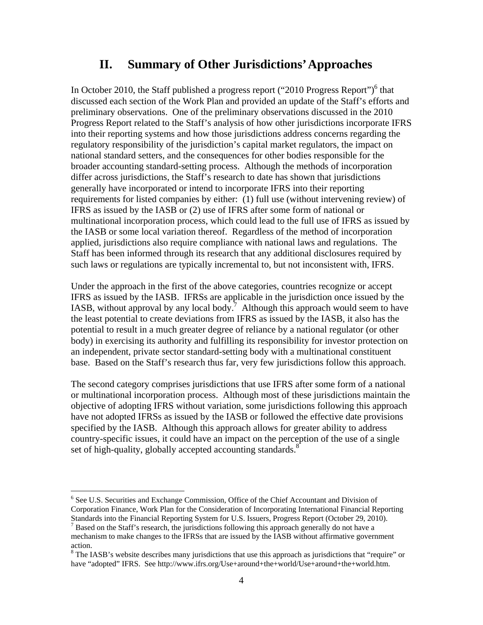## **II. Summary of Other Jurisdictions'Approaches**

<span id="page-5-0"></span>In October 2010, the Staff published a progress report ("2010 Progress Report") $<sup>6</sup>$  that</sup> discussed each section of the Work Plan and provided an update of the Staff's efforts and preliminary observations. One of the preliminary observations discussed in the 2010 Progress Report related to the Staff's analysis of how other jurisdictions incorporate IFRS into their reporting systems and how those jurisdictions address concerns regarding the regulatory responsibility of the jurisdiction's capital market regulators, the impact on national standard setters, and the consequences for other bodies responsible for the broader accounting standard-setting process. Although the methods of incorporation differ across jurisdictions, the Staff's research to date has shown that jurisdictions generally have incorporated or intend to incorporate IFRS into their reporting requirements for listed companies by either: (1) full use (without intervening review) of IFRS as issued by the IASB or (2) use of IFRS after some form of national or multinational incorporation process, which could lead to the full use of IFRS as issued by the IASB or some local variation thereof. Regardless of the method of incorporation applied, jurisdictions also require compliance with national laws and regulations. The Staff has been informed through its research that any additional disclosures required by such laws or regulations are typically incremental to, but not inconsistent with, IFRS.

Under the approach in the first of the above categories, countries recognize or accept IFRS as issued by the IASB. IFRSs are applicable in the jurisdiction once issued by the IASB, without approval by any local body.<sup>7</sup> Although this approach would seem to have the least potential to create deviations from IFRS as issued by the IASB, it also has the potential to result in a much greater degree of reliance by a national regulator (or other body) in exercising its authority and fulfilling its responsibility for investor protection on an independent, private sector standard-setting body with a multinational constituent base. Based on the Staff's research thus far, very few jurisdictions follow this approach.

The second category comprises jurisdictions that use IFRS after some form of a national or multinational incorporation process. Although most of these jurisdictions maintain the objective of adopting IFRS without variation, some jurisdictions following this approach have not adopted IFRSs as issued by the IASB or followed the effective date provisions specified by the IASB. Although this approach allows for greater ability to address country-specific issues, it could have an impact on the perception of the use of a single set of high-quality, globally accepted accounting standards.<sup>8</sup>

1

 Standards into the Financial Reporting System for U.S. Issuers, Progress Report (October 29, 2010). <sup>6</sup> See U.S. Securities and Exchange Commission, Office of the Chief Accountant and Division of Corporation Finance, Work Plan for the Consideration of Incorporating International Financial Reporting

 $<sup>7</sup>$  Based on the Staff's research, the jurisdictions following this approach generally do not have a</sup> mechanism to make changes to the IFRSs that are issued by the IASB without affirmative government action.

<sup>&</sup>lt;sup>8</sup> The IASB's website describes many jurisdictions that use this approach as jurisdictions that "require" or have "adopted" IFRS. See http://www.ifrs.org/Use+around+the+world/Use+around+the+world.htm.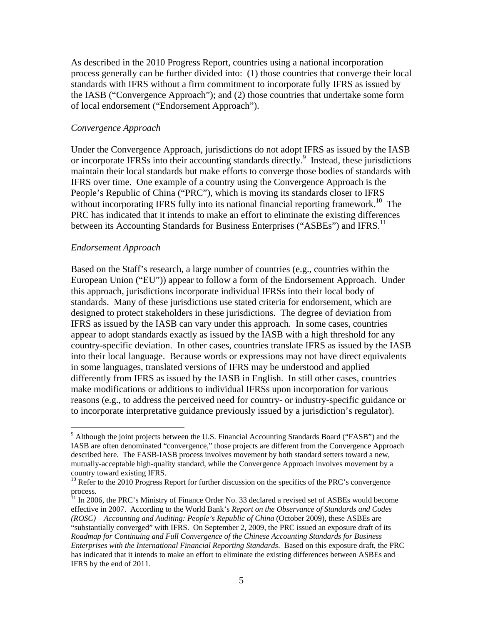As described in the 2010 Progress Report, countries using a national incorporation process generally can be further divided into: (1) those countries that converge their local standards with IFRS without a firm commitment to incorporate fully IFRS as issued by the IASB ("Convergence Approach"); and (2) those countries that undertake some form of local endorsement ("Endorsement Approach").

#### *Convergence Approach*

Under the Convergence Approach, jurisdictions do not adopt IFRS as issued by the IASB or incorporate IFRSs into their accounting standards directly.<sup>9</sup> Instead, these jurisdictions maintain their local standards but make efforts to converge those bodies of standards with IFRS over time. One example of a country using the Convergence Approach is the People's Republic of China ("PRC"), which is moving its standards closer to IFRS without incorporating IFRS fully into its national financial reporting framework.<sup>10</sup> The PRC has indicated that it intends to make an effort to eliminate the existing differences between its Accounting Standards for Business Enterprises ("ASBEs") and IFRS.<sup>11</sup>

#### *Endorsement Approach*

 $\overline{a}$ 

Based on the Staff's research, a large number of countries (e.g., countries within the European Union ("EU")) appear to follow a form of the Endorsement Approach. Under this approach, jurisdictions incorporate individual IFRSs into their local body of standards. Many of these jurisdictions use stated criteria for endorsement, which are designed to protect stakeholders in these jurisdictions. The degree of deviation from IFRS as issued by the IASB can vary under this approach. In some cases, countries appear to adopt standards exactly as issued by the IASB with a high threshold for any country-specific deviation. In other cases, countries translate IFRS as issued by the IASB into their local language. Because words or expressions may not have direct equivalents in some languages, translated versions of IFRS may be understood and applied differently from IFRS as issued by the IASB in English. In still other cases, countries make modifications or additions to individual IFRSs upon incorporation for various reasons (e.g., to address the perceived need for country- or industry-specific guidance or to incorporate interpretative guidance previously issued by a jurisdiction's regulator).

<sup>&</sup>lt;sup>9</sup> Although the joint projects between the U.S. Financial Accounting Standards Board ("FASB") and the IASB are often denominated "convergence," those projects are different from the Convergence Approach described here. The FASB-IASB process involves movement by both standard setters toward a new, mutually-acceptable high-quality standard, while the Convergence Approach involves movement by a country toward existing IFRS.

 $10$  Refer to the 2010 Progress Report for further discussion on the specifics of the PRC's convergence process.

 *(ROSC) – Accounting and Auditing: People's Republic of China* (October 2009), these ASBEs are "substantially converged" with IFRS. On September 2, 2009, the PRC issued an exposure draft of its <sup>11</sup> In 2006, the PRC's Ministry of Finance Order No. 33 declared a revised set of ASBEs would become effective in 2007. According to the World Bank's *Report on the Observance of Standards and Codes Roadmap for Continuing and Full Convergence of the Chinese Accounting Standards for Business Enterprises with the International Financial Reporting Standards*. Based on this exposure draft, the PRC has indicated that it intends to make an effort to eliminate the existing differences between ASBEs and IFRS by the end of 2011.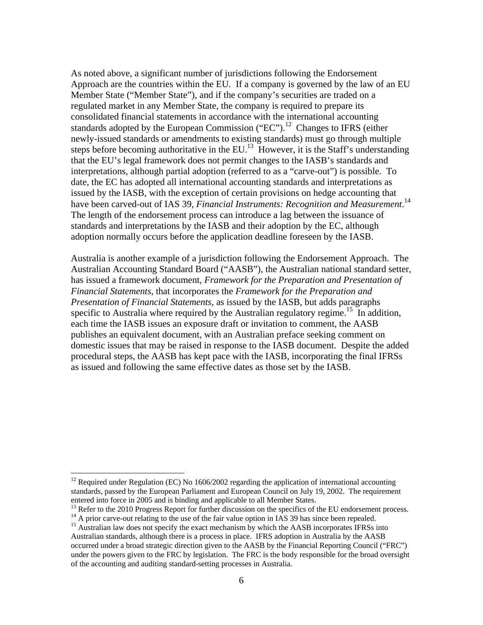have been carved-out of IAS 39, *Financial Instruments: Recognition and Measurement*.<sup>14</sup> As noted above, a significant number of jurisdictions following the Endorsement Approach are the countries within the EU. If a company is governed by the law of an EU Member State ("Member State"), and if the company's securities are traded on a regulated market in any Member State, the company is required to prepare its consolidated financial statements in accordance with the international accounting standards adopted by the European Commission ("EC").<sup>12</sup> Changes to IFRS (either newly-issued standards or amendments to existing standards) must go through multiple steps before becoming authoritative in the  $EU<sup>13</sup>$  However, it is the Staff's understanding that the EU's legal framework does not permit changes to the IASB's standards and interpretations, although partial adoption (referred to as a "carve-out") is possible. To date, the EC has adopted all international accounting standards and interpretations as issued by the IASB, with the exception of certain provisions on hedge accounting that The length of the endorsement process can introduce a lag between the issuance of standards and interpretations by the IASB and their adoption by the EC, although adoption normally occurs before the application deadline foreseen by the IASB.

Australia is another example of a jurisdiction following the Endorsement Approach. The Australian Accounting Standard Board ("AASB"), the Australian national standard setter, has issued a framework document, *Framework for the Preparation and Presentation of Financial Statements*, that incorporates the *Framework for the Preparation and Presentation of Financial Statements,* as issued by the IASB, but adds paragraphs specific to Australia where required by the Australian regulatory regime.<sup>15</sup> In addition, each time the IASB issues an exposure draft or invitation to comment, the AASB publishes an equivalent document, with an Australian preface seeking comment on domestic issues that may be raised in response to the IASB document. Despite the added procedural steps, the AASB has kept pace with the IASB, incorporating the final IFRSs as issued and following the same effective dates as those set by the IASB.

 standards, passed by the European Parliament and European Council on July 19, 2002. The requirement <sup>12</sup> Required under Regulation (EC) No 1606/2002 regarding the application of international accounting entered into force in 2005 and is binding and applicable to all Member States.<br><sup>13</sup> Refer to the 2010 Progress Report for further discussion on the specifics of the EU endorsement process.

<sup>&</sup>lt;sup>13</sup> Refer to the 2010 Progress Report for further discussion on the specifics of the EU endorsement process.<br><sup>14</sup> A prior carve-out relating to the use of the fair value option in IAS 39 has since been repealed.

<sup>&</sup>lt;sup>14</sup> A prior carve-out relating to the use of the fair value option in IAS 39 has since been repealed.<br><sup>15</sup> Australian law does not specify the exact mechanism by which the AASB incorporates IFRSs into

Australian standards, although there is a process in place. IFRS adoption in Australia by the AASB occurred under a broad strategic direction given to the AASB by the Financial Reporting Council ("FRC") under the powers given to the FRC by legislation. The FRC is the body responsible for the broad oversight of the accounting and auditing standard-setting processes in Australia.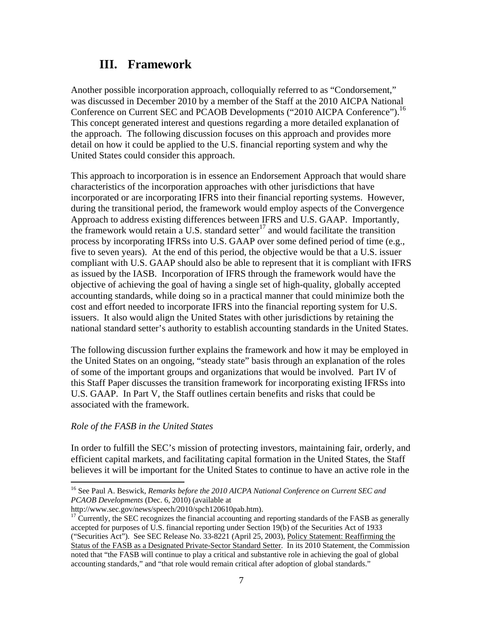## **III. Framework**

<span id="page-8-0"></span>Conference on Current SEC and PCAOB Developments ("2010 AICPA Conference").<sup>16</sup> Another possible incorporation approach, colloquially referred to as "Condorsement," was discussed in December 2010 by a member of the Staff at the 2010 AICPA National This concept generated interest and questions regarding a more detailed explanation of the approach. The following discussion focuses on this approach and provides more detail on how it could be applied to the U.S. financial reporting system and why the United States could consider this approach.

This approach to incorporation is in essence an Endorsement Approach that would share characteristics of the incorporation approaches with other jurisdictions that have incorporated or are incorporating IFRS into their financial reporting systems. However, during the transitional period, the framework would employ aspects of the Convergence Approach to address existing differences between IFRS and U.S. GAAP. Importantly, the framework would retain a U.S. standard setter<sup>17</sup> and would facilitate the transition process by incorporating IFRSs into U.S. GAAP over some defined period of time (e.g., five to seven years). At the end of this period, the objective would be that a U.S. issuer compliant with U.S. GAAP should also be able to represent that it is compliant with IFRS as issued by the IASB. Incorporation of IFRS through the framework would have the objective of achieving the goal of having a single set of high-quality, globally accepted accounting standards, while doing so in a practical manner that could minimize both the cost and effort needed to incorporate IFRS into the financial reporting system for U.S. issuers. It also would align the United States with other jurisdictions by retaining the national standard setter's authority to establish accounting standards in the United States.

The following discussion further explains the framework and how it may be employed in the United States on an ongoing, "steady state" basis through an explanation of the roles of some of the important groups and organizations that would be involved. Part IV of this Staff Paper discusses the transition framework for incorporating existing IFRSs into U.S. GAAP. In Part V, the Staff outlines certain benefits and risks that could be associated with the framework.

## *Role of the FASB in the United States*

 $\overline{a}$ 

In order to fulfill the SEC's mission of protecting investors, maintaining fair, orderly, and efficient capital markets, and facilitating capital formation in the United States, the Staff believes it will be important for the United States to continue to have an active role in the

http://www.sec.gov/news/speech/2010/spch120610pab.htm).

<sup>16</sup> See Paul A. Beswick, *Remarks before the 2010 AICPA National Conference on Current SEC and PCAOB Developments* (Dec. 6, 2010) (available at

 $17$  Currently, the SEC recognizes the financial accounting and reporting standards of the FASB as generally accepted for purposes of U.S. financial reporting under Section 19(b) of the Securities Act of 1933 ("Securities Act"). See SEC Release No. 33-8221 (April 25, 2003), Policy Statement: Reaffirming the Status of the FASB as a Designated Private-Sector Standard Setter. In its 2010 Statement, the Commission noted that "the FASB will continue to play a critical and substantive role in achieving the goal of global accounting standards," and "that role would remain critical after adoption of global standards."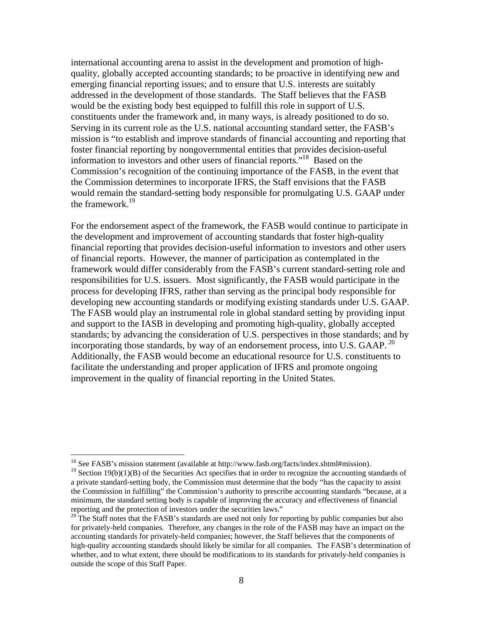international accounting arena to assist in the development and promotion of highquality, globally accepted accounting standards; to be proactive in identifying new and emerging financial reporting issues; and to ensure that U.S. interests are suitably addressed in the development of those standards. The Staff believes that the FASB would be the existing body best equipped to fulfill this role in support of U.S. constituents under the framework and, in many ways, is already positioned to do so. Serving in its current role as the U.S. national accounting standard setter, the FASB's mission is "to establish and improve standards of financial accounting and reporting that foster financial reporting by nongovernmental entities that provides decision-useful information to investors and other users of financial reports."18 Based on the Commission's recognition of the continuing importance of the FASB, in the event that the Commission determines to incorporate IFRS, the Staff envisions that the FASB would remain the standard-setting body responsible for promulgating U.S. GAAP under the framework.<sup>19</sup>

incorporating those standards, by way of an endorsement process, into U.S. GAAP.<sup>20</sup> For the endorsement aspect of the framework, the FASB would continue to participate in the development and improvement of accounting standards that foster high-quality financial reporting that provides decision-useful information to investors and other users of financial reports. However, the manner of participation as contemplated in the framework would differ considerably from the FASB's current standard-setting role and responsibilities for U.S. issuers. Most significantly, the FASB would participate in the process for developing IFRS, rather than serving as the principal body responsible for developing new accounting standards or modifying existing standards under U.S. GAAP. The FASB would play an instrumental role in global standard setting by providing input and support to the IASB in developing and promoting high-quality, globally accepted standards; by advancing the consideration of U.S. perspectives in those standards; and by Additionally, the FASB would become an educational resource for U.S. constituents to facilitate the understanding and proper application of IFRS and promote ongoing improvement in the quality of financial reporting in the United States.

<sup>&</sup>lt;sup>18</sup> See FASB's mission statement (available at http://www.fasb.org/facts/index.shtml#mission).

 $19$  Section 19(b)(1)(B) of the Securities Act specifies that in order to recognize the accounting standards of a private standard-setting body, the Commission must determine that the body "has the capacity to assist the Commission in fulfilling" the Commission's authority to prescribe accounting standards "because, at a minimum, the standard setting body is capable of improving the accuracy and effectiveness of financial reporting and the protection of investors under the securities laws."<br><sup>20</sup> The Staff notes that the FASB's standards are used not only for reporting by public companies but also

for privately-held companies. Therefore, any changes in the role of the FASB may have an impact on the accounting standards for privately-held companies; however, the Staff believes that the components of high-quality accounting standards should likely be similar for all companies. The FASB's determination of whether, and to what extent, there should be modifications to its standards for privately-held companies is outside the scope of this Staff Paper.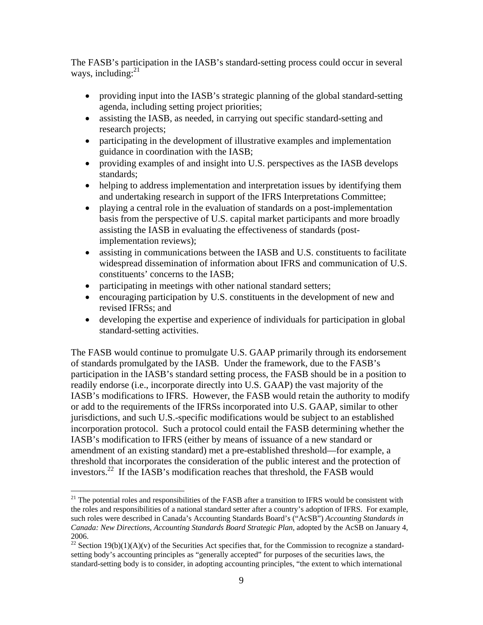ways, including: $^{21}$ The FASB's participation in the IASB's standard-setting process could occur in several

- providing input into the IASB's strategic planning of the global standard-setting agenda, including setting project priorities;
- assisting the IASB, as needed, in carrying out specific standard-setting and research projects;
- participating in the development of illustrative examples and implementation guidance in coordination with the IASB;
- providing examples of and insight into U.S. perspectives as the IASB develops standards;
- helping to address implementation and interpretation issues by identifying them and undertaking research in support of the IFRS Interpretations Committee;
- playing a central role in the evaluation of standards on a post-implementation basis from the perspective of U.S. capital market participants and more broadly assisting the IASB in evaluating the effectiveness of standards (postimplementation reviews);
- assisting in communications between the IASB and U.S. constituents to facilitate widespread dissemination of information about IFRS and communication of U.S. constituents' concerns to the IASB;
- participating in meetings with other national standard setters;
- encouraging participation by U.S. constituents in the development of new and revised IFRSs; and
- developing the expertise and experience of individuals for participation in global standard-setting activities.

The FASB would continue to promulgate U.S. GAAP primarily through its endorsement of standards promulgated by the IASB. Under the framework, due to the FASB's participation in the IASB's standard setting process, the FASB should be in a position to readily endorse (i.e., incorporate directly into U.S. GAAP) the vast majority of the IASB's modifications to IFRS. However, the FASB would retain the authority to modify or add to the requirements of the IFRSs incorporated into U.S. GAAP, similar to other jurisdictions, and such U.S.-specific modifications would be subject to an established incorporation protocol. Such a protocol could entail the FASB determining whether the IASB's modification to IFRS (either by means of issuance of a new standard or amendment of an existing standard) met a pre-established threshold—for example, a threshold that incorporates the consideration of the public interest and the protection of investors.<sup>22</sup> If the IASB's modification reaches that threshold, the FASB would

such roles were described in Canada's Accounting Standards Board's ("AcSB") *Accounting Standards in* <sup>21</sup> The potential roles and responsibilities of the FASB after a transition to IFRS would be consistent with the roles and responsibilities of a national standard setter after a country's adoption of IFRS. For example, *Canada: New Directions, Accounting Standards Board Strategic Plan, adopted by the AcSB on January 4,* 2006.

 $22$  Section 19(b)(1)(A)(v) of the Securities Act specifies that, for the Commission to recognize a standardsetting body's accounting principles as "generally accepted" for purposes of the securities laws, the standard-setting body is to consider, in adopting accounting principles, "the extent to which international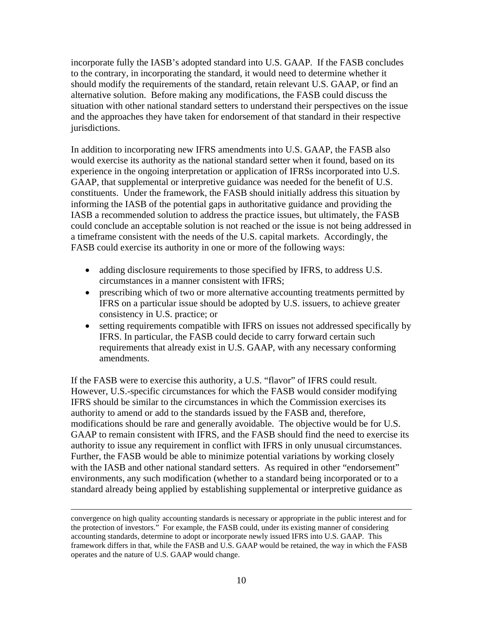incorporate fully the IASB's adopted standard into U.S. GAAP. If the FASB concludes to the contrary, in incorporating the standard, it would need to determine whether it should modify the requirements of the standard, retain relevant U.S. GAAP, or find an alternative solution. Before making any modifications, the FASB could discuss the situation with other national standard setters to understand their perspectives on the issue and the approaches they have taken for endorsement of that standard in their respective jurisdictions.

In addition to incorporating new IFRS amendments into U.S. GAAP, the FASB also would exercise its authority as the national standard setter when it found, based on its experience in the ongoing interpretation or application of IFRSs incorporated into U.S. GAAP, that supplemental or interpretive guidance was needed for the benefit of U.S. constituents. Under the framework, the FASB should initially address this situation by informing the IASB of the potential gaps in authoritative guidance and providing the IASB a recommended solution to address the practice issues, but ultimately, the FASB could conclude an acceptable solution is not reached or the issue is not being addressed in a timeframe consistent with the needs of the U.S. capital markets. Accordingly, the FASB could exercise its authority in one or more of the following ways:

- adding disclosure requirements to those specified by IFRS, to address U.S. circumstances in a manner consistent with IFRS;
- prescribing which of two or more alternative accounting treatments permitted by IFRS on a particular issue should be adopted by U.S. issuers, to achieve greater consistency in U.S. practice; or
- setting requirements compatible with IFRS on issues not addressed specifically by IFRS. In particular, the FASB could decide to carry forward certain such requirements that already exist in U.S. GAAP, with any necessary conforming amendments.

If the FASB were to exercise this authority, a U.S. "flavor" of IFRS could result. However, U.S.-specific circumstances for which the FASB would consider modifying IFRS should be similar to the circumstances in which the Commission exercises its authority to amend or add to the standards issued by the FASB and, therefore, modifications should be rare and generally avoidable. The objective would be for U.S. GAAP to remain consistent with IFRS, and the FASB should find the need to exercise its authority to issue any requirement in conflict with IFRS in only unusual circumstances. Further, the FASB would be able to minimize potential variations by working closely with the IASB and other national standard setters. As required in other "endorsement" environments, any such modification (whether to a standard being incorporated or to a standard already being applied by establishing supplemental or interpretive guidance as

convergence on high quality accounting standards is necessary or appropriate in the public interest and for the protection of investors." For example, the FASB could, under its existing manner of considering accounting standards, determine to adopt or incorporate newly issued IFRS into U.S. GAAP. This framework differs in that, while the FASB and U.S. GAAP would be retained, the way in which the FASB operates and the nature of U.S. GAAP would change.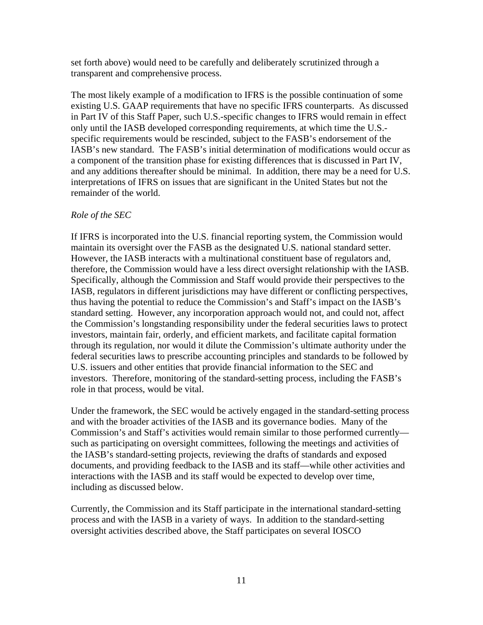set forth above) would need to be carefully and deliberately scrutinized through a transparent and comprehensive process.

The most likely example of a modification to IFRS is the possible continuation of some existing U.S. GAAP requirements that have no specific IFRS counterparts. As discussed in Part IV of this Staff Paper, such U.S.-specific changes to IFRS would remain in effect only until the IASB developed corresponding requirements, at which time the U.S. specific requirements would be rescinded, subject to the FASB's endorsement of the IASB's new standard. The FASB's initial determination of modifications would occur as a component of the transition phase for existing differences that is discussed in Part IV, and any additions thereafter should be minimal. In addition, there may be a need for U.S. interpretations of IFRS on issues that are significant in the United States but not the remainder of the world.

## *Role of the SEC*

If IFRS is incorporated into the U.S. financial reporting system, the Commission would maintain its oversight over the FASB as the designated U.S. national standard setter. However, the IASB interacts with a multinational constituent base of regulators and, therefore, the Commission would have a less direct oversight relationship with the IASB. Specifically, although the Commission and Staff would provide their perspectives to the IASB, regulators in different jurisdictions may have different or conflicting perspectives, thus having the potential to reduce the Commission's and Staff's impact on the IASB's standard setting. However, any incorporation approach would not, and could not, affect the Commission's longstanding responsibility under the federal securities laws to protect investors, maintain fair, orderly, and efficient markets, and facilitate capital formation through its regulation, nor would it dilute the Commission's ultimate authority under the federal securities laws to prescribe accounting principles and standards to be followed by U.S. issuers and other entities that provide financial information to the SEC and investors. Therefore, monitoring of the standard-setting process, including the FASB's role in that process, would be vital.

Under the framework, the SEC would be actively engaged in the standard-setting process and with the broader activities of the IASB and its governance bodies. Many of the Commission's and Staff's activities would remain similar to those performed currently such as participating on oversight committees, following the meetings and activities of the IASB's standard-setting projects, reviewing the drafts of standards and exposed documents, and providing feedback to the IASB and its staff—while other activities and interactions with the IASB and its staff would be expected to develop over time, including as discussed below.

Currently, the Commission and its Staff participate in the international standard-setting process and with the IASB in a variety of ways. In addition to the standard-setting oversight activities described above, the Staff participates on several IOSCO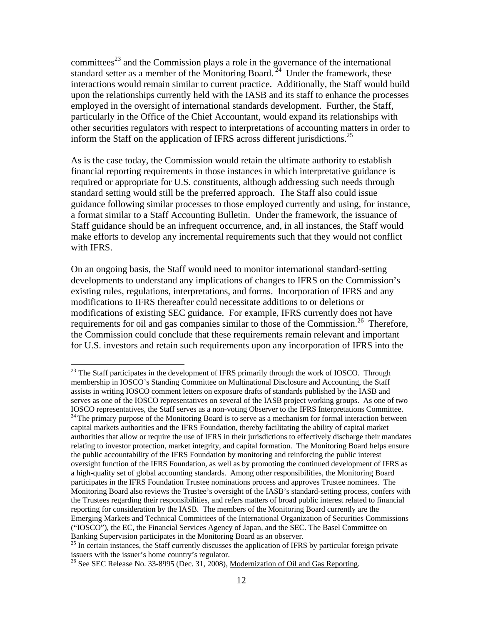committees<sup>23</sup> and the Commission plays a role in the governance of the international standard setter as a member of the Monitoring Board.<sup>24</sup> Under the framework, these interactions would remain similar to current practice. Additionally, the Staff would build upon the relationships currently held with the IASB and its staff to enhance the processes employed in the oversight of international standards development. Further, the Staff, particularly in the Office of the Chief Accountant, would expand its relationships with other securities regulators with respect to interpretations of accounting matters in order to inform the Staff on the application of IFRS across different jurisdictions.<sup>25</sup>

As is the case today, the Commission would retain the ultimate authority to establish financial reporting requirements in those instances in which interpretative guidance is required or appropriate for U.S. constituents, although addressing such needs through standard setting would still be the preferred approach. The Staff also could issue guidance following similar processes to those employed currently and using, for instance, a format similar to a Staff Accounting Bulletin. Under the framework, the issuance of Staff guidance should be an infrequent occurrence, and, in all instances, the Staff would make efforts to develop any incremental requirements such that they would not conflict with IFRS.

On an ongoing basis, the Staff would need to monitor international standard-setting developments to understand any implications of changes to IFRS on the Commission's existing rules, regulations, interpretations, and forms. Incorporation of IFRS and any modifications to IFRS thereafter could necessitate additions to or deletions or modifications of existing SEC guidance. For example, IFRS currently does not have requirements for oil and gas companies similar to those of the Commission.<sup>26</sup> Therefore, the Commission could conclude that these requirements remain relevant and important for U.S. investors and retain such requirements upon any incorporation of IFRS into the

 serves as one of the IOSCO representatives on several of the IASB project working groups. As one of two relating to investor protection, market integrity, and capital formation. The Monitoring Board helps ensure <sup>23</sup> The Staff participates in the development of IFRS primarily through the work of IOSCO. Through membership in IOSCO's Standing Committee on Multinational Disclosure and Accounting, the Staff assists in writing IOSCO comment letters on exposure drafts of standards published by the IASB and IOSCO representatives, the Staff serves as a non-voting Observer to the IFRS Interpretations Committee. 24 The primary purpose of the Monitoring Board is to serve as a mechanism for formal interaction between capital markets authorities and the IFRS Foundation, thereby facilitating the ability of capital market authorities that allow or require the use of IFRS in their jurisdictions to effectively discharge their mandates the public accountability of the IFRS Foundation by monitoring and reinforcing the public interest oversight function of the IFRS Foundation, as well as by promoting the continued development of IFRS as a high-quality set of global accounting standards. Among other responsibilities, the Monitoring Board participates in the IFRS Foundation Trustee nominations process and approves Trustee nominees. The Monitoring Board also reviews the Trustee's oversight of the IASB's standard-setting process, confers with the Trustees regarding their responsibilities, and refers matters of broad public interest related to financial reporting for consideration by the IASB. The members of the Monitoring Board currently are the Emerging Markets and Technical Committees of the International Organization of Securities Commissions ("IOSCO"), the EC, the Financial Services Agency of Japan, and the SEC. The Basel Committee on Banking Supervision participates in the Monitoring Board as an observer.

 $25$  In certain instances, the Staff currently discusses the application of IFRS by particular foreign private issuers with the issuer's home country's regulator.

<sup>&</sup>lt;sup>26</sup> See SEC Release No. 33-8995 (Dec. 31, 2008), Modernization of Oil and Gas Reporting.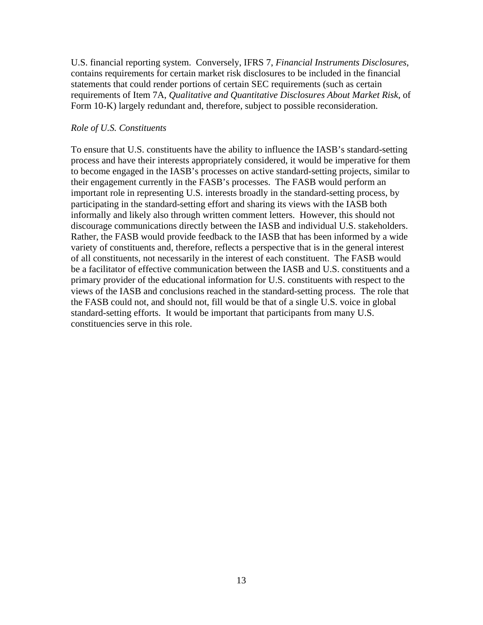U.S. financial reporting system. Conversely, IFRS 7, *Financial Instruments Disclosures*, contains requirements for certain market risk disclosures to be included in the financial statements that could render portions of certain SEC requirements (such as certain requirements of Item 7A, *Qualitative and Quantitative Disclosures About Market Risk*, of Form 10-K) largely redundant and, therefore, subject to possible reconsideration.

#### *Role of U.S. Constituents*

To ensure that U.S. constituents have the ability to influence the IASB's standard-setting process and have their interests appropriately considered, it would be imperative for them to become engaged in the IASB's processes on active standard-setting projects, similar to their engagement currently in the FASB's processes. The FASB would perform an important role in representing U.S. interests broadly in the standard-setting process, by participating in the standard-setting effort and sharing its views with the IASB both informally and likely also through written comment letters. However, this should not discourage communications directly between the IASB and individual U.S. stakeholders. Rather, the FASB would provide feedback to the IASB that has been informed by a wide variety of constituents and, therefore, reflects a perspective that is in the general interest of all constituents, not necessarily in the interest of each constituent. The FASB would be a facilitator of effective communication between the IASB and U.S. constituents and a primary provider of the educational information for U.S. constituents with respect to the views of the IASB and conclusions reached in the standard-setting process. The role that the FASB could not, and should not, fill would be that of a single U.S. voice in global standard-setting efforts. It would be important that participants from many U.S. constituencies serve in this role.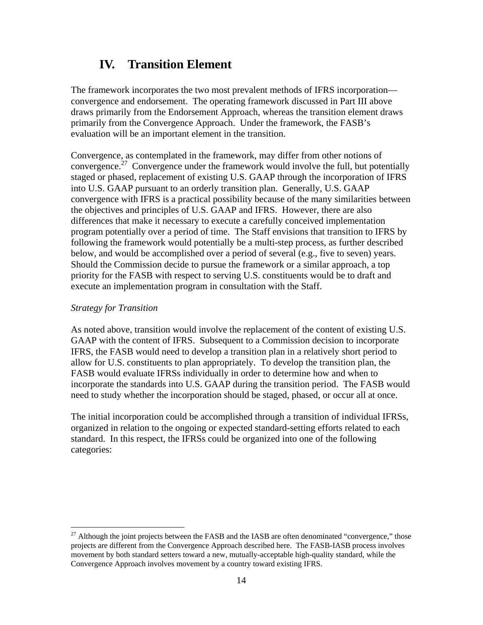# **IV. Transition Element**

<span id="page-15-0"></span>The framework incorporates the two most prevalent methods of IFRS incorporation convergence and endorsement. The operating framework discussed in Part III above draws primarily from the Endorsement Approach, whereas the transition element draws primarily from the Convergence Approach. Under the framework, the FASB's evaluation will be an important element in the transition.

Convergence, as contemplated in the framework, may differ from other notions of convergence.<sup>27</sup> Convergence under the framework would involve the full, but potentially staged or phased, replacement of existing U.S. GAAP through the incorporation of IFRS into U.S. GAAP pursuant to an orderly transition plan. Generally, U.S. GAAP convergence with IFRS is a practical possibility because of the many similarities between the objectives and principles of U.S. GAAP and IFRS. However, there are also differences that make it necessary to execute a carefully conceived implementation program potentially over a period of time. The Staff envisions that transition to IFRS by following the framework would potentially be a multi-step process, as further described below, and would be accomplished over a period of several (e.g., five to seven) years. Should the Commission decide to pursue the framework or a similar approach, a top priority for the FASB with respect to serving U.S. constituents would be to draft and execute an implementation program in consultation with the Staff.

## *Strategy for Transition*

 $\overline{a}$ 

As noted above, transition would involve the replacement of the content of existing U.S. GAAP with the content of IFRS. Subsequent to a Commission decision to incorporate IFRS, the FASB would need to develop a transition plan in a relatively short period to allow for U.S. constituents to plan appropriately. To develop the transition plan, the FASB would evaluate IFRSs individually in order to determine how and when to incorporate the standards into U.S. GAAP during the transition period. The FASB would need to study whether the incorporation should be staged, phased, or occur all at once.

The initial incorporation could be accomplished through a transition of individual IFRSs, organized in relation to the ongoing or expected standard-setting efforts related to each standard. In this respect, the IFRSs could be organized into one of the following categories:

 $^{27}$  Although the joint projects between the FASB and the IASB are often denominated "convergence," those projects are different from the Convergence Approach described here. The FASB-IASB process involves movement by both standard setters toward a new, mutually-acceptable high-quality standard, while the Convergence Approach involves movement by a country toward existing IFRS.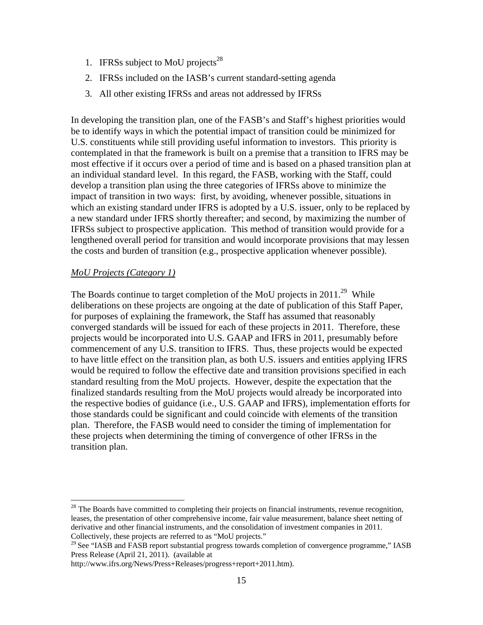- 1. IFRSs subject to MoU projects<sup>28</sup>
- 2. IFRSs included on the IASB's current standard-setting agenda
- 3. All other existing IFRSs and areas not addressed by IFRSs

In developing the transition plan, one of the FASB's and Staff's highest priorities would be to identify ways in which the potential impact of transition could be minimized for U.S. constituents while still providing useful information to investors. This priority is contemplated in that the framework is built on a premise that a transition to IFRS may be most effective if it occurs over a period of time and is based on a phased transition plan at an individual standard level. In this regard, the FASB, working with the Staff, could develop a transition plan using the three categories of IFRSs above to minimize the impact of transition in two ways: first, by avoiding, whenever possible, situations in which an existing standard under IFRS is adopted by a U.S. issuer, only to be replaced by a new standard under IFRS shortly thereafter; and second, by maximizing the number of IFRSs subject to prospective application. This method of transition would provide for a lengthened overall period for transition and would incorporate provisions that may lessen the costs and burden of transition (e.g., prospective application whenever possible).

## *MoU Projects (Category 1)*

1

The Boards continue to target completion of the MoU projects in  $2011.^{29}$  While deliberations on these projects are ongoing at the date of publication of this Staff Paper, for purposes of explaining the framework, the Staff has assumed that reasonably converged standards will be issued for each of these projects in 2011. Therefore, these projects would be incorporated into U.S. GAAP and IFRS in 2011, presumably before commencement of any U.S. transition to IFRS. Thus, these projects would be expected to have little effect on the transition plan, as both U.S. issuers and entities applying IFRS would be required to follow the effective date and transition provisions specified in each standard resulting from the MoU projects. However, despite the expectation that the finalized standards resulting from the MoU projects would already be incorporated into the respective bodies of guidance (i.e., U.S. GAAP and IFRS), implementation efforts for those standards could be significant and could coincide with elements of the transition plan. Therefore, the FASB would need to consider the timing of implementation for these projects when determining the timing of convergence of other IFRSs in the transition plan.

 leases, the presentation of other comprehensive income, fair value measurement, balance sheet netting of derivative and other financial instruments, and the consolidation of investment companies in 2011. <sup>28</sup> The Boards have committed to completing their projects on financial instruments, revenue recognition, Collectively, these projects are referred to as "MoU projects."

<sup>&</sup>lt;sup>29</sup> See "IASB and FASB report substantial progress towards completion of convergence programme," IASB Press Release (April 21, 2011). (available at

http://www.ifrs.org/News/Press+Releases/progress+report+2011.htm).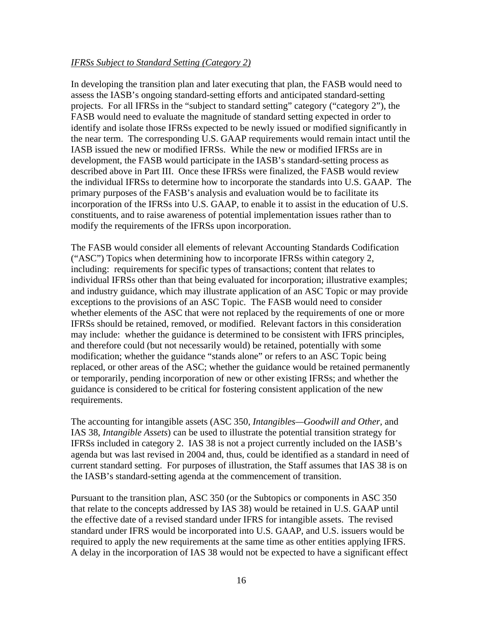#### *IFRSs Subject to Standard Setting (Category 2)*

In developing the transition plan and later executing that plan, the FASB would need to assess the IASB's ongoing standard-setting efforts and anticipated standard-setting projects. For all IFRSs in the "subject to standard setting" category ("category 2"), the FASB would need to evaluate the magnitude of standard setting expected in order to identify and isolate those IFRSs expected to be newly issued or modified significantly in the near term. The corresponding U.S. GAAP requirements would remain intact until the IASB issued the new or modified IFRSs. While the new or modified IFRSs are in development, the FASB would participate in the IASB's standard-setting process as described above in Part III. Once these IFRSs were finalized, the FASB would review the individual IFRSs to determine how to incorporate the standards into U.S. GAAP. The primary purposes of the FASB's analysis and evaluation would be to facilitate its incorporation of the IFRSs into U.S. GAAP, to enable it to assist in the education of U.S. constituents, and to raise awareness of potential implementation issues rather than to modify the requirements of the IFRSs upon incorporation.

The FASB would consider all elements of relevant Accounting Standards Codification ("ASC") Topics when determining how to incorporate IFRSs within category 2, including: requirements for specific types of transactions; content that relates to individual IFRSs other than that being evaluated for incorporation; illustrative examples; and industry guidance, which may illustrate application of an ASC Topic or may provide exceptions to the provisions of an ASC Topic. The FASB would need to consider whether elements of the ASC that were not replaced by the requirements of one or more IFRSs should be retained, removed, or modified. Relevant factors in this consideration may include: whether the guidance is determined to be consistent with IFRS principles, and therefore could (but not necessarily would) be retained, potentially with some modification; whether the guidance "stands alone" or refers to an ASC Topic being replaced, or other areas of the ASC; whether the guidance would be retained permanently or temporarily, pending incorporation of new or other existing IFRSs; and whether the guidance is considered to be critical for fostering consistent application of the new requirements.

The accounting for intangible assets (ASC 350, *Intangibles—Goodwill and Other,* and IAS 38, *Intangible Assets*) can be used to illustrate the potential transition strategy for IFRSs included in category 2. IAS 38 is not a project currently included on the IASB's agenda but was last revised in 2004 and, thus, could be identified as a standard in need of current standard setting. For purposes of illustration, the Staff assumes that IAS 38 is on the IASB's standard-setting agenda at the commencement of transition.

Pursuant to the transition plan, ASC 350 (or the Subtopics or components in ASC 350 that relate to the concepts addressed by IAS 38) would be retained in U.S. GAAP until the effective date of a revised standard under IFRS for intangible assets. The revised standard under IFRS would be incorporated into U.S. GAAP, and U.S. issuers would be required to apply the new requirements at the same time as other entities applying IFRS. A delay in the incorporation of IAS 38 would not be expected to have a significant effect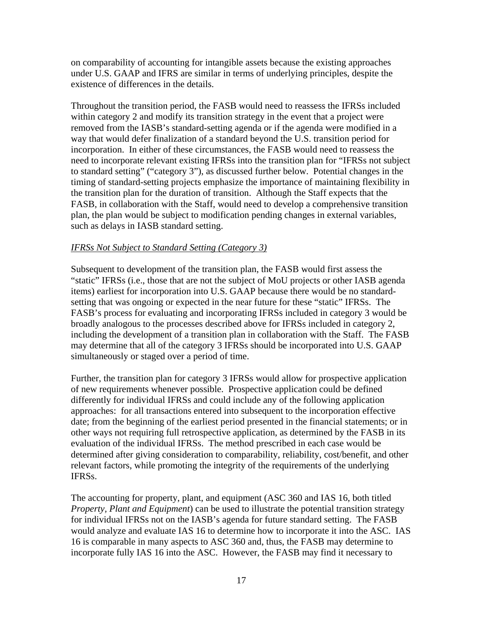on comparability of accounting for intangible assets because the existing approaches under U.S. GAAP and IFRS are similar in terms of underlying principles, despite the existence of differences in the details.

Throughout the transition period, the FASB would need to reassess the IFRSs included within category 2 and modify its transition strategy in the event that a project were removed from the IASB's standard-setting agenda or if the agenda were modified in a way that would defer finalization of a standard beyond the U.S. transition period for incorporation. In either of these circumstances, the FASB would need to reassess the need to incorporate relevant existing IFRSs into the transition plan for "IFRSs not subject to standard setting" ("category 3"), as discussed further below. Potential changes in the timing of standard-setting projects emphasize the importance of maintaining flexibility in the transition plan for the duration of transition. Although the Staff expects that the FASB, in collaboration with the Staff, would need to develop a comprehensive transition plan, the plan would be subject to modification pending changes in external variables, such as delays in IASB standard setting.

## *IFRSs Not Subject to Standard Setting (Category 3)*

Subsequent to development of the transition plan, the FASB would first assess the "static" IFRSs (i.e., those that are not the subject of MoU projects or other IASB agenda items) earliest for incorporation into U.S. GAAP because there would be no standardsetting that was ongoing or expected in the near future for these "static" IFRSs. The FASB's process for evaluating and incorporating IFRSs included in category 3 would be broadly analogous to the processes described above for IFRSs included in category 2, including the development of a transition plan in collaboration with the Staff. The FASB may determine that all of the category 3 IFRSs should be incorporated into U.S. GAAP simultaneously or staged over a period of time.

Further, the transition plan for category 3 IFRSs would allow for prospective application of new requirements whenever possible. Prospective application could be defined differently for individual IFRSs and could include any of the following application approaches: for all transactions entered into subsequent to the incorporation effective date; from the beginning of the earliest period presented in the financial statements; or in other ways not requiring full retrospective application, as determined by the FASB in its evaluation of the individual IFRSs. The method prescribed in each case would be determined after giving consideration to comparability, reliability, cost/benefit, and other relevant factors, while promoting the integrity of the requirements of the underlying IFRSs.

The accounting for property, plant, and equipment (ASC 360 and IAS 16, both titled *Property, Plant and Equipment*) can be used to illustrate the potential transition strategy for individual IFRSs not on the IASB's agenda for future standard setting. The FASB would analyze and evaluate IAS 16 to determine how to incorporate it into the ASC. IAS 16 is comparable in many aspects to ASC 360 and, thus, the FASB may determine to incorporate fully IAS 16 into the ASC. However, the FASB may find it necessary to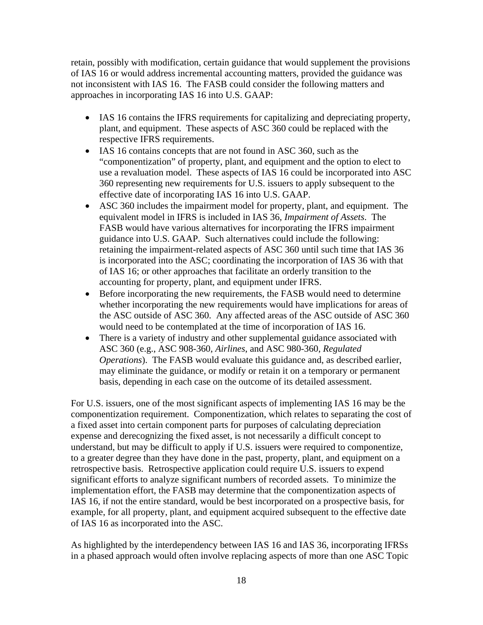retain, possibly with modification, certain guidance that would supplement the provisions of IAS 16 or would address incremental accounting matters, provided the guidance was not inconsistent with IAS 16. The FASB could consider the following matters and approaches in incorporating IAS 16 into U.S. GAAP:

- IAS 16 contains the IFRS requirements for capitalizing and depreciating property, plant, and equipment. These aspects of ASC 360 could be replaced with the respective IFRS requirements.
- IAS 16 contains concepts that are not found in ASC 360, such as the "componentization" of property, plant, and equipment and the option to elect to use a revaluation model. These aspects of IAS 16 could be incorporated into ASC 360 representing new requirements for U.S. issuers to apply subsequent to the effective date of incorporating IAS 16 into U.S. GAAP.
- ASC 360 includes the impairment model for property, plant, and equipment. The equivalent model in IFRS is included in IAS 36, *Impairment of Assets*. The FASB would have various alternatives for incorporating the IFRS impairment guidance into U.S. GAAP. Such alternatives could include the following: retaining the impairment-related aspects of ASC 360 until such time that IAS 36 is incorporated into the ASC; coordinating the incorporation of IAS 36 with that of IAS 16; or other approaches that facilitate an orderly transition to the accounting for property, plant, and equipment under IFRS.
- Before incorporating the new requirements, the FASB would need to determine whether incorporating the new requirements would have implications for areas of the ASC outside of ASC 360. Any affected areas of the ASC outside of ASC 360 would need to be contemplated at the time of incorporation of IAS 16.
- There is a variety of industry and other supplemental guidance associated with ASC 360 (e.g., ASC 908-360, *Airlines*, and ASC 980-360, *Regulated Operations*). The FASB would evaluate this guidance and, as described earlier, may eliminate the guidance, or modify or retain it on a temporary or permanent basis, depending in each case on the outcome of its detailed assessment.

For U.S. issuers, one of the most significant aspects of implementing IAS 16 may be the componentization requirement. Componentization, which relates to separating the cost of a fixed asset into certain component parts for purposes of calculating depreciation expense and derecognizing the fixed asset, is not necessarily a difficult concept to understand, but may be difficult to apply if U.S. issuers were required to componentize, to a greater degree than they have done in the past, property, plant, and equipment on a retrospective basis. Retrospective application could require U.S. issuers to expend significant efforts to analyze significant numbers of recorded assets. To minimize the implementation effort, the FASB may determine that the componentization aspects of IAS 16, if not the entire standard, would be best incorporated on a prospective basis, for example, for all property, plant, and equipment acquired subsequent to the effective date of IAS 16 as incorporated into the ASC.

As highlighted by the interdependency between IAS 16 and IAS 36, incorporating IFRSs in a phased approach would often involve replacing aspects of more than one ASC Topic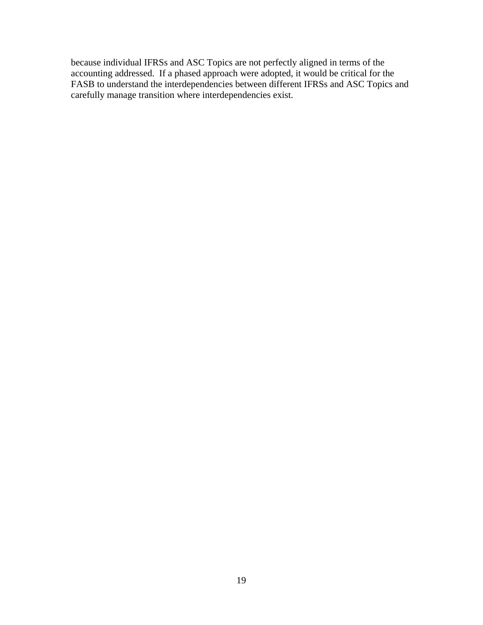because individual IFRSs and ASC Topics are not perfectly aligned in terms of the accounting addressed. If a phased approach were adopted, it would be critical for the FASB to understand the interdependencies between different IFRSs and ASC Topics and carefully manage transition where interdependencies exist.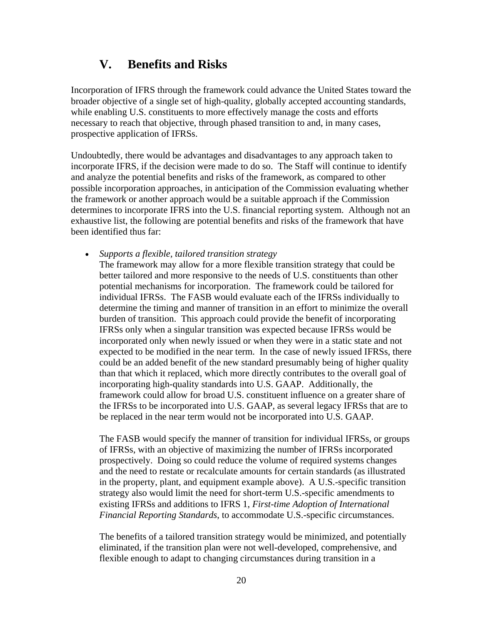# **V. Benefits and Risks**

<span id="page-21-0"></span>Incorporation of IFRS through the framework could advance the United States toward the broader objective of a single set of high-quality, globally accepted accounting standards, while enabling U.S. constituents to more effectively manage the costs and efforts necessary to reach that objective, through phased transition to and, in many cases, prospective application of IFRSs.

Undoubtedly, there would be advantages and disadvantages to any approach taken to incorporate IFRS, if the decision were made to do so. The Staff will continue to identify and analyze the potential benefits and risks of the framework, as compared to other possible incorporation approaches, in anticipation of the Commission evaluating whether the framework or another approach would be a suitable approach if the Commission determines to incorporate IFRS into the U.S. financial reporting system. Although not an exhaustive list, the following are potential benefits and risks of the framework that have been identified thus far:

- *Supports a flexible, tailored transition strategy* 
	- The framework may allow for a more flexible transition strategy that could be better tailored and more responsive to the needs of U.S. constituents than other potential mechanisms for incorporation. The framework could be tailored for individual IFRSs. The FASB would evaluate each of the IFRSs individually to determine the timing and manner of transition in an effort to minimize the overall burden of transition. This approach could provide the benefit of incorporating IFRSs only when a singular transition was expected because IFRSs would be incorporated only when newly issued or when they were in a static state and not expected to be modified in the near term. In the case of newly issued IFRSs, there could be an added benefit of the new standard presumably being of higher quality than that which it replaced, which more directly contributes to the overall goal of incorporating high-quality standards into U.S. GAAP. Additionally, the framework could allow for broad U.S. constituent influence on a greater share of the IFRSs to be incorporated into U.S. GAAP, as several legacy IFRSs that are to be replaced in the near term would not be incorporated into U.S. GAAP.

The FASB would specify the manner of transition for individual IFRSs, or groups of IFRSs, with an objective of maximizing the number of IFRSs incorporated prospectively. Doing so could reduce the volume of required systems changes and the need to restate or recalculate amounts for certain standards (as illustrated in the property, plant, and equipment example above). A U.S.-specific transition strategy also would limit the need for short-term U.S.-specific amendments to existing IFRSs and additions to IFRS 1, *First-time Adoption of International Financial Reporting Standards*, to accommodate U.S.-specific circumstances.

The benefits of a tailored transition strategy would be minimized, and potentially eliminated, if the transition plan were not well-developed, comprehensive, and flexible enough to adapt to changing circumstances during transition in a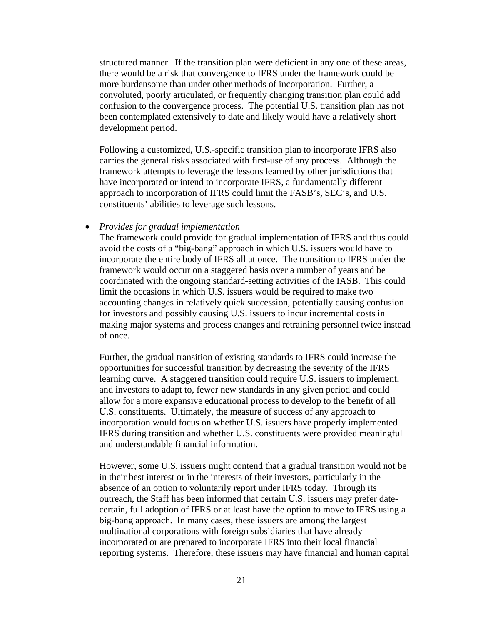structured manner. If the transition plan were deficient in any one of these areas, there would be a risk that convergence to IFRS under the framework could be more burdensome than under other methods of incorporation. Further, a convoluted, poorly articulated, or frequently changing transition plan could add confusion to the convergence process. The potential U.S. transition plan has not been contemplated extensively to date and likely would have a relatively short development period.

Following a customized, U.S.-specific transition plan to incorporate IFRS also carries the general risks associated with first-use of any process. Although the framework attempts to leverage the lessons learned by other jurisdictions that have incorporated or intend to incorporate IFRS, a fundamentally different approach to incorporation of IFRS could limit the FASB's, SEC's, and U.S. constituents' abilities to leverage such lessons.

#### • *Provides for gradual implementation*

The framework could provide for gradual implementation of IFRS and thus could avoid the costs of a "big-bang" approach in which U.S. issuers would have to incorporate the entire body of IFRS all at once. The transition to IFRS under the framework would occur on a staggered basis over a number of years and be coordinated with the ongoing standard-setting activities of the IASB. This could limit the occasions in which U.S. issuers would be required to make two accounting changes in relatively quick succession, potentially causing confusion for investors and possibly causing U.S. issuers to incur incremental costs in making major systems and process changes and retraining personnel twice instead of once.

Further, the gradual transition of existing standards to IFRS could increase the opportunities for successful transition by decreasing the severity of the IFRS learning curve. A staggered transition could require U.S. issuers to implement, and investors to adapt to, fewer new standards in any given period and could allow for a more expansive educational process to develop to the benefit of all U.S. constituents. Ultimately, the measure of success of any approach to incorporation would focus on whether U.S. issuers have properly implemented IFRS during transition and whether U.S. constituents were provided meaningful and understandable financial information.

However, some U.S. issuers might contend that a gradual transition would not be in their best interest or in the interests of their investors, particularly in the absence of an option to voluntarily report under IFRS today. Through its outreach, the Staff has been informed that certain U.S. issuers may prefer datecertain, full adoption of IFRS or at least have the option to move to IFRS using a big-bang approach. In many cases, these issuers are among the largest multinational corporations with foreign subsidiaries that have already incorporated or are prepared to incorporate IFRS into their local financial reporting systems. Therefore, these issuers may have financial and human capital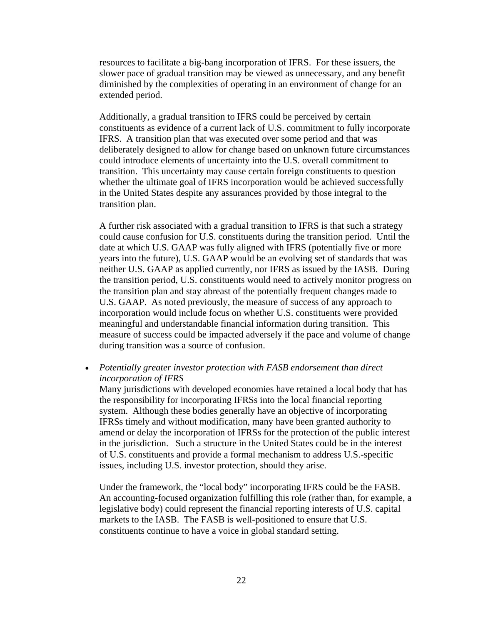resources to facilitate a big-bang incorporation of IFRS. For these issuers, the slower pace of gradual transition may be viewed as unnecessary, and any benefit diminished by the complexities of operating in an environment of change for an extended period.

Additionally, a gradual transition to IFRS could be perceived by certain constituents as evidence of a current lack of U.S. commitment to fully incorporate IFRS. A transition plan that was executed over some period and that was deliberately designed to allow for change based on unknown future circumstances could introduce elements of uncertainty into the U.S. overall commitment to transition. This uncertainty may cause certain foreign constituents to question whether the ultimate goal of IFRS incorporation would be achieved successfully in the United States despite any assurances provided by those integral to the transition plan.

A further risk associated with a gradual transition to IFRS is that such a strategy could cause confusion for U.S. constituents during the transition period. Until the date at which U.S. GAAP was fully aligned with IFRS (potentially five or more years into the future), U.S. GAAP would be an evolving set of standards that was neither U.S. GAAP as applied currently, nor IFRS as issued by the IASB. During the transition period, U.S. constituents would need to actively monitor progress on the transition plan and stay abreast of the potentially frequent changes made to U.S. GAAP. As noted previously, the measure of success of any approach to incorporation would include focus on whether U.S. constituents were provided meaningful and understandable financial information during transition. This measure of success could be impacted adversely if the pace and volume of change during transition was a source of confusion.

• *Potentially greater investor protection with FASB endorsement than direct incorporation of IFRS* 

Many jurisdictions with developed economies have retained a local body that has the responsibility for incorporating IFRSs into the local financial reporting system. Although these bodies generally have an objective of incorporating IFRSs timely and without modification, many have been granted authority to amend or delay the incorporation of IFRSs for the protection of the public interest in the jurisdiction. Such a structure in the United States could be in the interest of U.S. constituents and provide a formal mechanism to address U.S.-specific issues, including U.S. investor protection, should they arise.

Under the framework, the "local body" incorporating IFRS could be the FASB. An accounting-focused organization fulfilling this role (rather than, for example, a legislative body) could represent the financial reporting interests of U.S. capital markets to the IASB. The FASB is well-positioned to ensure that U.S. constituents continue to have a voice in global standard setting.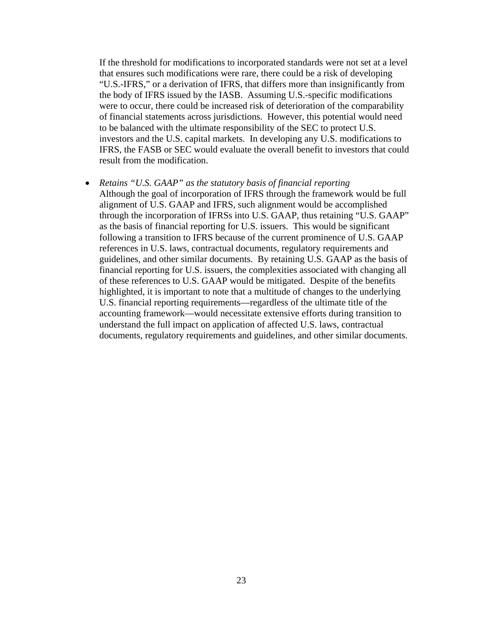If the threshold for modifications to incorporated standards were not set at a level that ensures such modifications were rare, there could be a risk of developing "U.S.-IFRS," or a derivation of IFRS, that differs more than insignificantly from the body of IFRS issued by the IASB. Assuming U.S.-specific modifications were to occur, there could be increased risk of deterioration of the comparability of financial statements across jurisdictions. However, this potential would need to be balanced with the ultimate responsibility of the SEC to protect U.S. investors and the U.S. capital markets. In developing any U.S. modifications to IFRS, the FASB or SEC would evaluate the overall benefit to investors that could result from the modification.

• *Retains "U.S. GAAP" as the statutory basis of financial reporting* Although the goal of incorporation of IFRS through the framework would be full alignment of U.S. GAAP and IFRS, such alignment would be accomplished through the incorporation of IFRSs into U.S. GAAP, thus retaining "U.S. GAAP" as the basis of financial reporting for U.S. issuers. This would be significant following a transition to IFRS because of the current prominence of U.S. GAAP references in U.S. laws, contractual documents, regulatory requirements and guidelines, and other similar documents. By retaining U.S. GAAP as the basis of financial reporting for U.S. issuers, the complexities associated with changing all of these references to U.S. GAAP would be mitigated. Despite of the benefits highlighted, it is important to note that a multitude of changes to the underlying U.S. financial reporting requirements—regardless of the ultimate title of the accounting framework—would necessitate extensive efforts during transition to understand the full impact on application of affected U.S. laws, contractual documents, regulatory requirements and guidelines, and other similar documents.